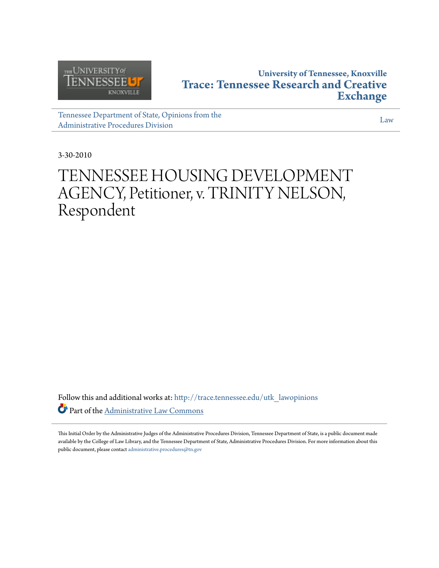

# **University of Tennessee, Knoxville [Trace: Tennessee Research and Creative](http://trace.tennessee.edu?utm_source=trace.tennessee.edu%2Futk_lawopinions%2F4584&utm_medium=PDF&utm_campaign=PDFCoverPages) [Exchange](http://trace.tennessee.edu?utm_source=trace.tennessee.edu%2Futk_lawopinions%2F4584&utm_medium=PDF&utm_campaign=PDFCoverPages)**

[Tennessee Department of State, Opinions from the](http://trace.tennessee.edu/utk_lawopinions?utm_source=trace.tennessee.edu%2Futk_lawopinions%2F4584&utm_medium=PDF&utm_campaign=PDFCoverPages) [Administrative Procedures Division](http://trace.tennessee.edu/utk_lawopinions?utm_source=trace.tennessee.edu%2Futk_lawopinions%2F4584&utm_medium=PDF&utm_campaign=PDFCoverPages)

[Law](http://trace.tennessee.edu/utk-law?utm_source=trace.tennessee.edu%2Futk_lawopinions%2F4584&utm_medium=PDF&utm_campaign=PDFCoverPages)

3-30-2010

# TENNESSEE HOUSING DEVELOPMENT AGENCY, Petitioner, v. TRINITY NELSON, Respondent

Follow this and additional works at: [http://trace.tennessee.edu/utk\\_lawopinions](http://trace.tennessee.edu/utk_lawopinions?utm_source=trace.tennessee.edu%2Futk_lawopinions%2F4584&utm_medium=PDF&utm_campaign=PDFCoverPages) Part of the [Administrative Law Commons](http://network.bepress.com/hgg/discipline/579?utm_source=trace.tennessee.edu%2Futk_lawopinions%2F4584&utm_medium=PDF&utm_campaign=PDFCoverPages)

This Initial Order by the Administrative Judges of the Administrative Procedures Division, Tennessee Department of State, is a public document made available by the College of Law Library, and the Tennessee Department of State, Administrative Procedures Division. For more information about this public document, please contact [administrative.procedures@tn.gov](mailto:administrative.procedures@tn.gov)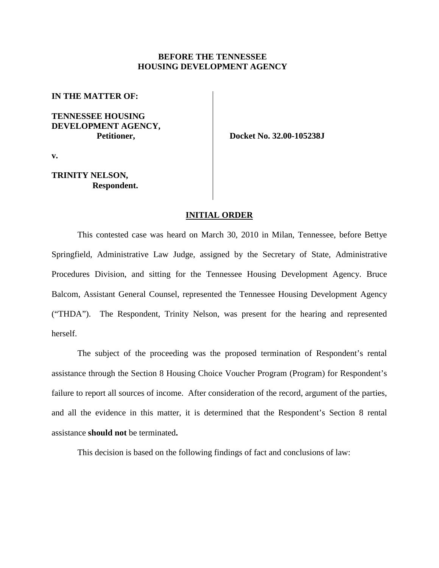#### **BEFORE THE TENNESSEE HOUSING DEVELOPMENT AGENCY**

**IN THE MATTER OF:**

## **TENNESSEE HOUSING DEVELOPMENT AGENCY, Petitioner,**

 **Docket No. 32.00-105238J**

**v.**

## **TRINITY NELSON, Respondent.**

#### **INITIAL ORDER**

This contested case was heard on March 30, 2010 in Milan, Tennessee, before Bettye Springfield, Administrative Law Judge, assigned by the Secretary of State, Administrative Procedures Division, and sitting for the Tennessee Housing Development Agency. Bruce Balcom, Assistant General Counsel, represented the Tennessee Housing Development Agency ("THDA"). The Respondent, Trinity Nelson, was present for the hearing and represented herself.

The subject of the proceeding was the proposed termination of Respondent's rental assistance through the Section 8 Housing Choice Voucher Program (Program) for Respondent's failure to report all sources of income. After consideration of the record, argument of the parties, and all the evidence in this matter, it is determined that the Respondent's Section 8 rental assistance **should not** be terminated**.**

This decision is based on the following findings of fact and conclusions of law: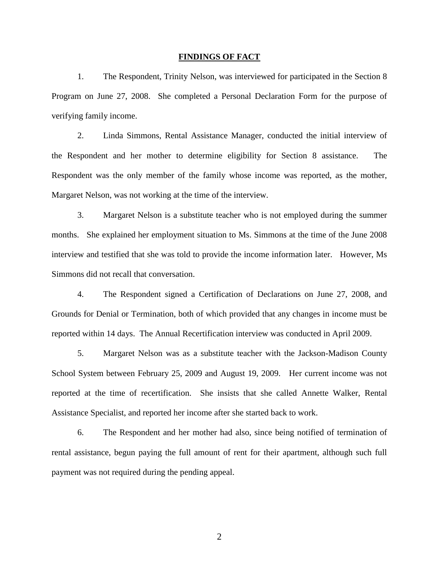#### **FINDINGS OF FACT**

1. The Respondent, Trinity Nelson, was interviewed for participated in the Section 8 Program on June 27, 2008. She completed a Personal Declaration Form for the purpose of verifying family income.

2. Linda Simmons, Rental Assistance Manager, conducted the initial interview of the Respondent and her mother to determine eligibility for Section 8 assistance. The Respondent was the only member of the family whose income was reported, as the mother, Margaret Nelson, was not working at the time of the interview.

3. Margaret Nelson is a substitute teacher who is not employed during the summer months. She explained her employment situation to Ms. Simmons at the time of the June 2008 interview and testified that she was told to provide the income information later. However, Ms Simmons did not recall that conversation.

4. The Respondent signed a Certification of Declarations on June 27, 2008, and Grounds for Denial or Termination, both of which provided that any changes in income must be reported within 14 days. The Annual Recertification interview was conducted in April 2009.

5. Margaret Nelson was as a substitute teacher with the Jackson-Madison County School System between February 25, 2009 and August 19, 2009. Her current income was not reported at the time of recertification. She insists that she called Annette Walker, Rental Assistance Specialist, and reported her income after she started back to work.

6. The Respondent and her mother had also, since being notified of termination of rental assistance, begun paying the full amount of rent for their apartment, although such full payment was not required during the pending appeal.

2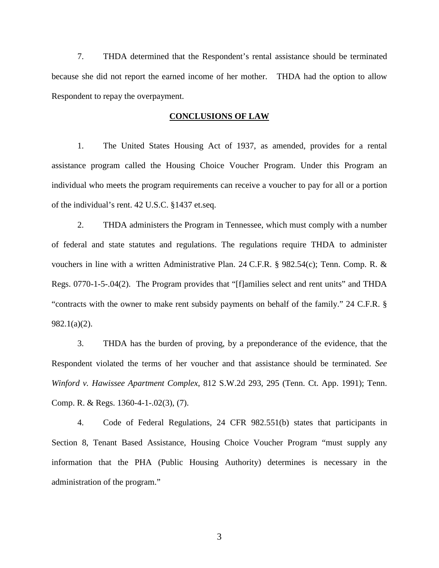7. THDA determined that the Respondent's rental assistance should be terminated because she did not report the earned income of her mother. THDA had the option to allow Respondent to repay the overpayment.

#### **CONCLUSIONS OF LAW**

1. The United States Housing Act of 1937, as amended, provides for a rental assistance program called the Housing Choice Voucher Program. Under this Program an individual who meets the program requirements can receive a voucher to pay for all or a portion of the individual's rent. 42 U.S.C. §1437 et.seq.

2. THDA administers the Program in Tennessee, which must comply with a number of federal and state statutes and regulations. The regulations require THDA to administer vouchers in line with a written Administrative Plan. 24 C.F.R. § 982.54(c); Tenn. Comp. R. & Regs. 0770-1-5-.04(2). The Program provides that "[f]amilies select and rent units" and THDA "contracts with the owner to make rent subsidy payments on behalf of the family." 24 C.F.R. § 982.1(a)(2).

3. THDA has the burden of proving, by a preponderance of the evidence, that the Respondent violated the terms of her voucher and that assistance should be terminated. *See Winford v. Hawissee Apartment Complex*, 812 S.W.2d 293, 295 (Tenn. Ct. App. 1991); Tenn. Comp. R. & Regs. 1360-4-1-.02(3), (7).

4. Code of Federal Regulations, 24 CFR 982.551(b) states that participants in Section 8, Tenant Based Assistance, Housing Choice Voucher Program "must supply any information that the PHA (Public Housing Authority) determines is necessary in the administration of the program."

3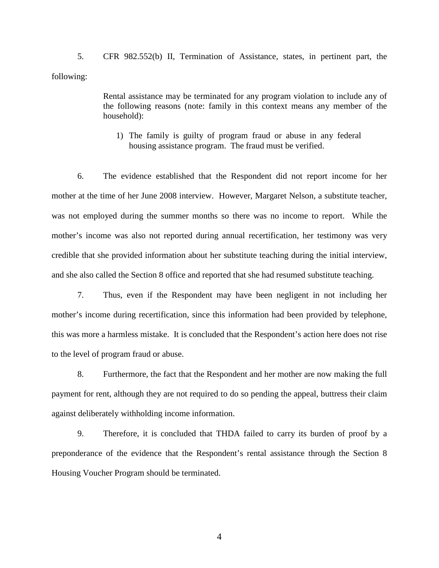5. CFR 982.552(b) II, Termination of Assistance, states, in pertinent part, the following:

> Rental assistance may be terminated for any program violation to include any of the following reasons (note: family in this context means any member of the household):

1) The family is guilty of program fraud or abuse in any federal housing assistance program. The fraud must be verified.

6. The evidence established that the Respondent did not report income for her mother at the time of her June 2008 interview. However, Margaret Nelson, a substitute teacher, was not employed during the summer months so there was no income to report. While the mother's income was also not reported during annual recertification, her testimony was very credible that she provided information about her substitute teaching during the initial interview, and she also called the Section 8 office and reported that she had resumed substitute teaching.

7. Thus, even if the Respondent may have been negligent in not including her mother's income during recertification, since this information had been provided by telephone, this was more a harmless mistake. It is concluded that the Respondent's action here does not rise to the level of program fraud or abuse.

8. Furthermore, the fact that the Respondent and her mother are now making the full payment for rent, although they are not required to do so pending the appeal, buttress their claim against deliberately withholding income information.

9. Therefore, it is concluded that THDA failed to carry its burden of proof by a preponderance of the evidence that the Respondent's rental assistance through the Section 8 Housing Voucher Program should be terminated.

4